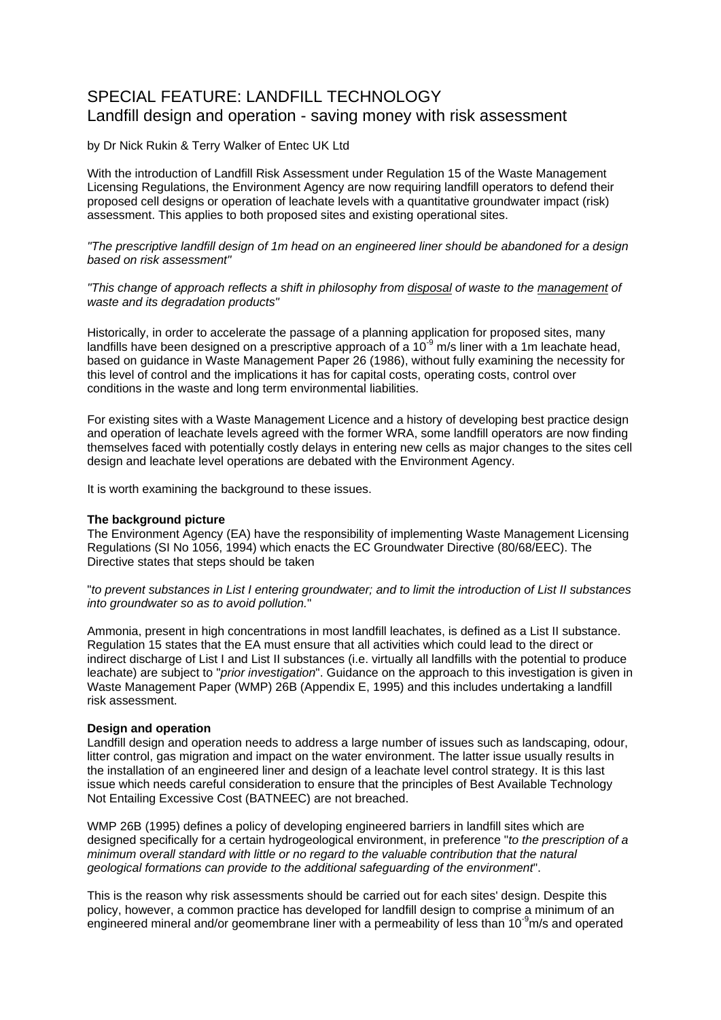# SPECIAL FEATURE: LANDFILL TECHNOLOGY Landfill design and operation - saving money with risk assessment

by Dr Nick Rukin & Terry Walker of Entec UK Ltd

With the introduction of Landfill Risk Assessment under Regulation 15 of the Waste Management Licensing Regulations, the Environment Agency are now requiring landfill operators to defend their proposed cell designs or operation of leachate levels with a quantitative groundwater impact (risk) assessment. This applies to both proposed sites and existing operational sites.

*"The prescriptive landfill design of 1m head on an engineered liner should be abandoned for a design based on risk assessment"* 

*"This change of approach reflects a shift in philosophy from disposal of waste to the management of waste and its degradation products"*

Historically, in order to accelerate the passage of a planning application for proposed sites, many landfills have been designed on a prescriptive approach of a  $10^{-9}$  m/s liner with a 1m leachate head, based on guidance in Waste Management Paper 26 (1986), without fully examining the necessity for this level of control and the implications it has for capital costs, operating costs, control over conditions in the waste and long term environmental liabilities.

For existing sites with a Waste Management Licence and a history of developing best practice design and operation of leachate levels agreed with the former WRA, some landfill operators are now finding themselves faced with potentially costly delays in entering new cells as major changes to the sites cell design and leachate level operations are debated with the Environment Agency.

It is worth examining the background to these issues.

#### **The background picture**

The Environment Agency (EA) have the responsibility of implementing Waste Management Licensing Regulations (SI No 1056, 1994) which enacts the EC Groundwater Directive (80/68/EEC). The Directive states that steps should be taken

"*to prevent substances in List I entering groundwater; and to limit the introduction of List II substances into groundwater so as to avoid pollution.*"

Ammonia, present in high concentrations in most landfill leachates, is defined as a List II substance. Regulation 15 states that the EA must ensure that all activities which could lead to the direct or indirect discharge of List I and List II substances (i.e. virtually all landfills with the potential to produce leachate) are subject to "*prior investigation*". Guidance on the approach to this investigation is given in Waste Management Paper (WMP) 26B (Appendix E, 1995) and this includes undertaking a landfill risk assessment.

#### **Design and operation**

Landfill design and operation needs to address a large number of issues such as landscaping, odour, litter control, gas migration and impact on the water environment. The latter issue usually results in the installation of an engineered liner and design of a leachate level control strategy. It is this last issue which needs careful consideration to ensure that the principles of Best Available Technology Not Entailing Excessive Cost (BATNEEC) are not breached.

WMP 26B (1995) defines a policy of developing engineered barriers in landfill sites which are designed specifically for a certain hydrogeological environment, in preference "*to the prescription of a minimum overall standard with little or no regard to the valuable contribution that the natural geological formations can provide to the additional safeguarding of the environment*".

This is the reason why risk assessments should be carried out for each sites' design. Despite this policy, however, a common practice has developed for landfill design to comprise a minimum of an engineered mineral and/or geomembrane liner with a permeability of less than 10<sup>-9</sup>m/s and operated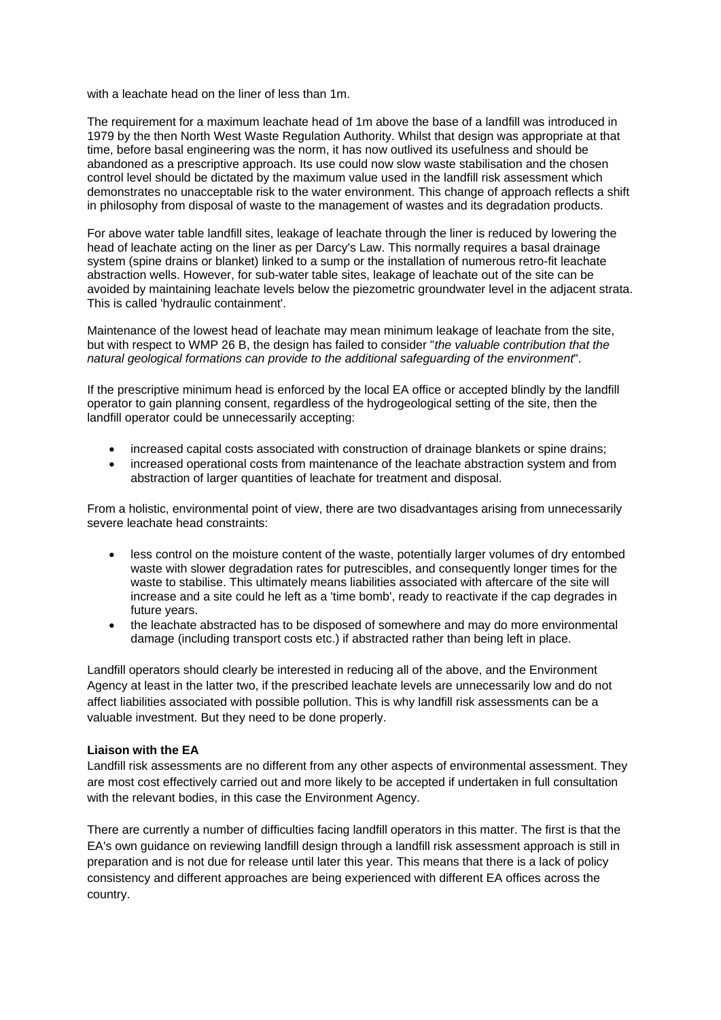with a leachate head on the liner of less than 1m.

The requirement for a maximum leachate head of 1m above the base of a landfill was introduced in 1979 by the then North West Waste Regulation Authority. Whilst that design was appropriate at that time, before basal engineering was the norm, it has now outlived its usefulness and should be abandoned as a prescriptive approach. Its use could now slow waste stabilisation and the chosen control level should be dictated by the maximum value used in the landfill risk assessment which demonstrates no unacceptable risk to the water environment. This change of approach reflects a shift in philosophy from disposal of waste to the management of wastes and its degradation products.

For above water table landfill sites, leakage of leachate through the liner is reduced by lowering the head of leachate acting on the liner as per Darcy's Law. This normally requires a basal drainage system (spine drains or blanket) linked to a sump or the installation of numerous retro-fit leachate abstraction wells. However, for sub-water table sites, leakage of leachate out of the site can be avoided by maintaining leachate levels below the piezometric groundwater level in the adjacent strata. This is called 'hydraulic containment'.

Maintenance of the lowest head of leachate may mean minimum leakage of leachate from the site, but with respect to WMP 26 B, the design has failed to consider "*the valuable contribution that the natural geological formations can provide to the additional safeguarding of the environment*".

If the prescriptive minimum head is enforced by the local EA office or accepted blindly by the landfill operator to gain planning consent, regardless of the hydrogeological setting of the site, then the landfill operator could be unnecessarily accepting:

- increased capital costs associated with construction of drainage blankets or spine drains;
- increased operational costs from maintenance of the leachate abstraction system and from abstraction of larger quantities of leachate for treatment and disposal.

From a holistic, environmental point of view, there are two disadvantages arising from unnecessarily severe leachate head constraints:

- less control on the moisture content of the waste, potentially larger volumes of dry entombed waste with slower degradation rates for putrescibles, and consequently longer times for the waste to stabilise. This ultimately means liabilities associated with aftercare of the site will increase and a site could he left as a 'time bomb', ready to reactivate if the cap degrades in future years.
- the leachate abstracted has to be disposed of somewhere and may do more environmental damage (including transport costs etc.) if abstracted rather than being left in place.

Landfill operators should clearly be interested in reducing all of the above, and the Environment Agency at least in the latter two, if the prescribed leachate levels are unnecessarily low and do not affect liabilities associated with possible pollution. This is why landfill risk assessments can be a valuable investment. But they need to be done properly.

### **Liaison with the EA**

Landfill risk assessments are no different from any other aspects of environmental assessment. They are most cost effectively carried out and more likely to be accepted if undertaken in full consultation with the relevant bodies, in this case the Environment Agency.

There are currently a number of difficulties facing landfill operators in this matter. The first is that the EA's own guidance on reviewing landfill design through a landfill risk assessment approach is still in preparation and is not due for release until later this year. This means that there is a lack of policy consistency and different approaches are being experienced with different EA offices across the country.